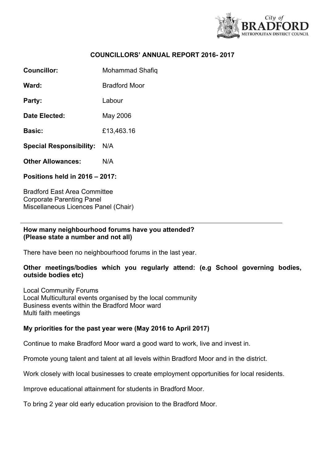

#### **COUNCILLORS' ANNUAL REPORT 2016- 2017**

**Councillor:** Mohammad Shafiq

**Ward:** Bradford Moor

Party: Labour

**Date Elected:** May 2006

**Basic:** £13,463.16

**Special Responsibility:** N/A

**Other Allowances:** N/A

**Positions held in 2016 – 2017:**

Bradford East Area Committee Corporate Parenting Panel Miscellaneous Licences Panel (Chair)

#### **How many neighbourhood forums have you attended? (Please state a number and not all)**

There have been no neighbourhood forums in the last year.

# **Other meetings/bodies which you regularly attend: (e.g School governing bodies, outside bodies etc)**

Local Community Forums Local Multicultural events organised by the local community Business events within the Bradford Moor ward Multi faith meetings

# **My priorities for the past year were (May 2016 to April 2017)**

Continue to make Bradford Moor ward a good ward to work, live and invest in.

Promote young talent and talent at all levels within Bradford Moor and in the district.

Work closely with local businesses to create employment opportunities for local residents.

Improve educational attainment for students in Bradford Moor.

To bring 2 year old early education provision to the Bradford Moor.